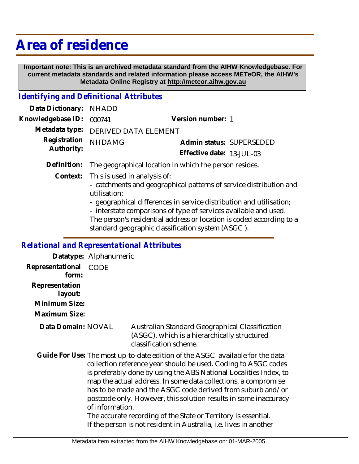## **Area of residence**

 **Important note: This is an archived metadata standard from the AIHW Knowledgebase. For current metadata standards and related information please access METeOR, the AIHW's Metadata Online Registry at http://meteor.aihw.gov.au**

## *Identifying and Definitional Attributes*

| Data Dictionary: NHADD            |                                                                     |                           |                          |
|-----------------------------------|---------------------------------------------------------------------|---------------------------|--------------------------|
| Knowledgebase ID: 000741          |                                                                     | Version number: 1         |                          |
|                                   | Metadata type: DERIVED DATA ELEMENT                                 |                           |                          |
| Registration NHDAMG<br>Authority: |                                                                     |                           | Admin status: SUPERSEDED |
|                                   |                                                                     | Effective date: 13-JUL-03 |                          |
|                                   | $Definition:$ The geographical location in which the person resides |                           |                          |

**Definition:** The geographical location in which the person resides.

Context: This is used in analysis of:

- catchments and geographical patterns of service distribution and utilisation;

- geographical differences in service distribution and utilisation;

- interstate comparisons of type of services available and used.

The person's residential address or location is coded according to a standard geographic classification system (ASGC ).

## *Relational and Representational Attributes*

**Datatype:** Alphanumeric **Representational** CODE  **form: Representation layout: Minimum Size:**

**Maximum Size:**

**Data Domain:**

Australian Standard Geographical Classification (ASGC), which is a hierarchically structured classification scheme.

Guide For Use: The most up-to-date edition of the ASGC available for the data collection reference year should be used. Coding to ASGC codes is preferably done by using the ABS National Localities Index, to map the actual address. In some data collections, a compromise has to be made and the ASGC code derived from suburb and/or postcode only. However, this solution results in some inaccuracy of information.

The accurate recording of the State or Territory is essential. If the person is not resident in Australia, i.e. lives in another